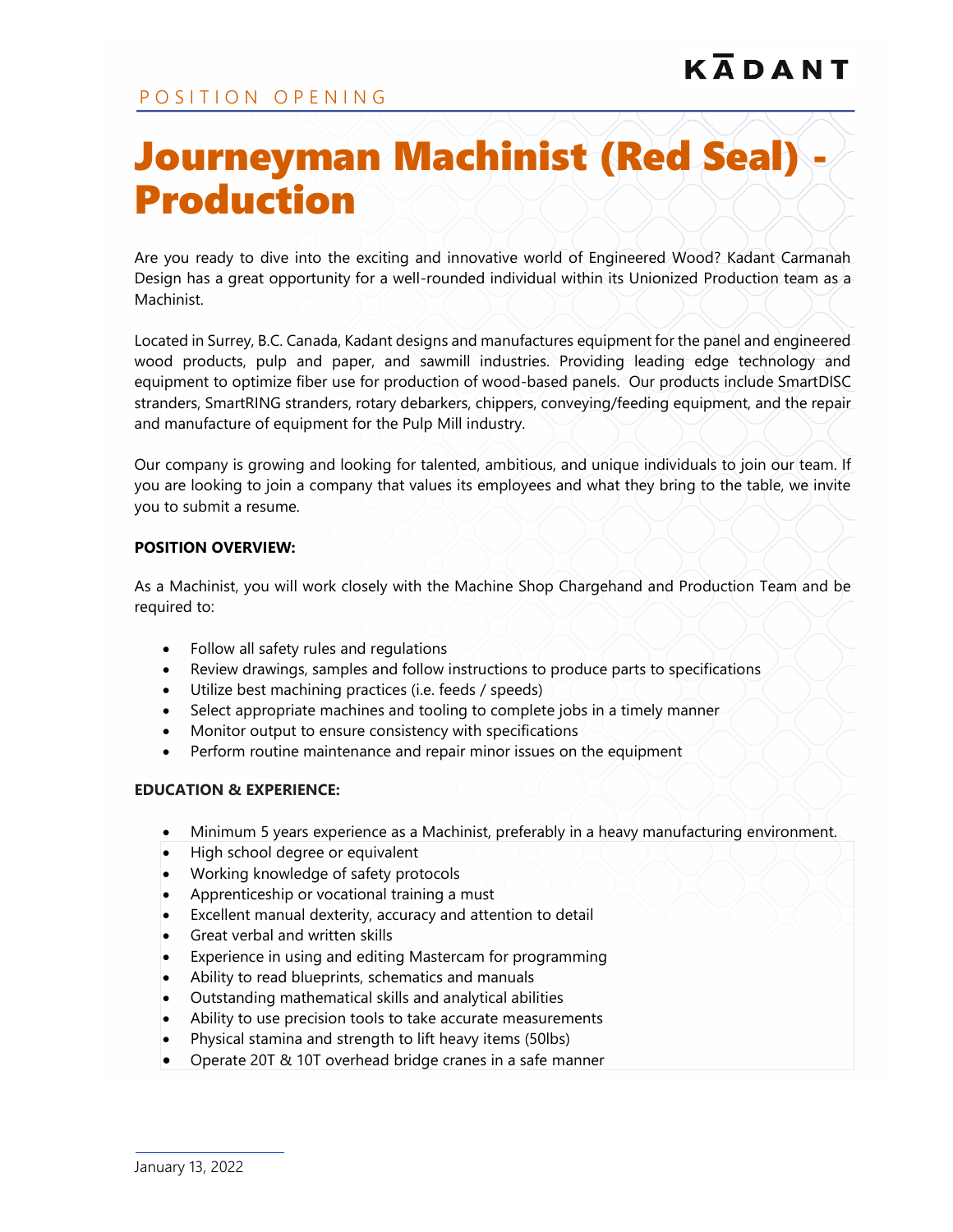## Journeyman Machinist (Red Seal) - Production

Are you ready to dive into the exciting and innovative world of Engineered Wood? Kadant Carmanah Design has a great opportunity for a well-rounded individual within its Unionized Production team as a Machinist.

Located in Surrey, B.C. Canada, Kadant designs and manufactures equipment for the panel and engineered wood products, pulp and paper, and sawmill industries. Providing leading edge technology and equipment to optimize fiber use for production of wood-based panels. Our products include SmartDISC stranders, SmartRING stranders, rotary debarkers, chippers, conveying/feeding equipment, and the repair and manufacture of equipment for the Pulp Mill industry.

Our company is growing and looking for talented, ambitious, and unique individuals to join our team. If you are looking to join a company that values its employees and what they bring to the table, we invite you to submit a resume.

## **POSITION OVERVIEW:**

As a Machinist, you will work closely with the Machine Shop Chargehand and Production Team and be required to:

- Follow all safety rules and regulations
- Review drawings, samples and follow instructions to produce parts to specifications
- Utilize best machining practices (i.e. feeds / speeds)
- Select appropriate machines and tooling to complete jobs in a timely manner
- Monitor output to ensure consistency with specifications
- Perform routine maintenance and repair minor issues on the equipment

## **EDUCATION & EXPERIENCE:**

- Minimum 5 years experience as a Machinist, preferably in a heavy manufacturing environment.
- High school degree or equivalent
- Working knowledge of safety protocols
- Apprenticeship or vocational training a must
- Excellent manual dexterity, accuracy and attention to detail
- Great verbal and written skills
- Experience in using and editing Mastercam for programming
- Ability to read blueprints, schematics and manuals
- Outstanding mathematical skills and analytical abilities
- Ability to use precision tools to take accurate measurements
- Physical stamina and strength to lift heavy items (50lbs)
- Operate 20T & 10T overhead bridge cranes in a safe manner